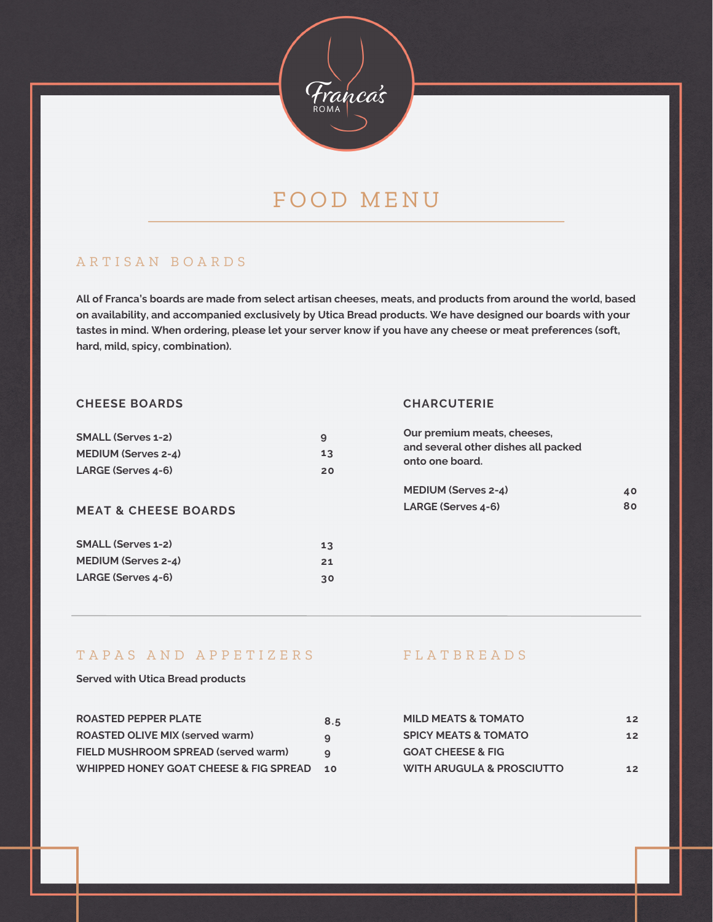

# FOOD MENU

## A R T I S A N B O A R D S

All of Franca's boards are made from select artisan cheeses, meats, and products from around the world, based **on availability, and accompanied exclusively by Utica Bread products. We have designed our boards with your** tastes in mind. When ordering, please let your server know if you have any cheese or meat preferences (soft, **hard, mild, spicy, combination).**

### **CHEESE BOARDS**

### **CHARCUTERIE**

| <b>SMALL (Serves 1-2)</b>       | 9  |
|---------------------------------|----|
| <b>MEDIUM (Serves 2-4)</b>      | 13 |
| LARGE (Serves 4-6)              | 20 |
|                                 |    |
| <b>MEAT &amp; CHEESE BOARDS</b> |    |
| <b>SMALL (Serves 1-2)</b>       | 13 |
| <b>MEDIUM (Serves 2-4)</b>      | 21 |
| LARGE (Serves 4-6)              | 30 |

| Our premium meats, cheeses,<br>and several other dishes all packed<br>onto one board. |  |
|---------------------------------------------------------------------------------------|--|
| <b>MEDIUM (Serves 2-4)</b><br>LARGE (Serves 4-6)                                      |  |
|                                                                                       |  |

## TAPAS AND APPETIZERS FLATBREADS

### **Served with Utica Bread products**

| <b>ROASTED PEPPER PLATE</b>            | 8.5 |
|----------------------------------------|-----|
| <b>ROASTED OLIVE MIX (served warm)</b> | 9   |
| FIELD MUSHROOM SPREAD (served warm)    | a   |
| WHIPPED HONEY GOAT CHEESE & FIG SPREAD | 10  |

| <b>MILD MEATS &amp; TOMATO</b>       | 12              |
|--------------------------------------|-----------------|
| <b>SPICY MEATS &amp; TOMATO</b>      | 12 <sub>2</sub> |
| <b>GOAT CHEESE &amp; FIG</b>         |                 |
| <b>WITH ARUGULA &amp; PROSCIUTTO</b> | 12              |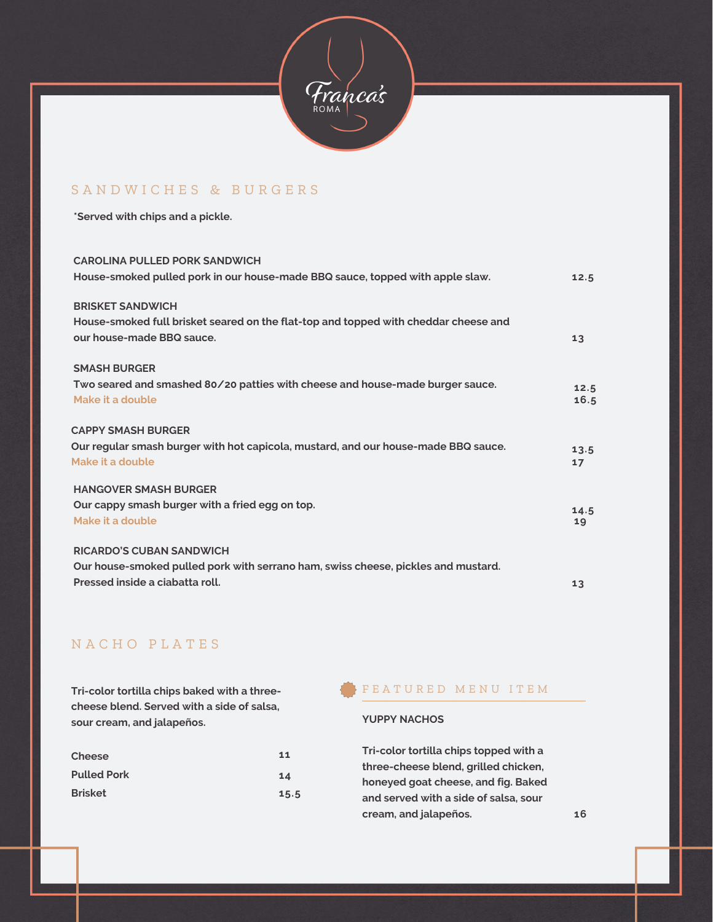

## SANDWICHES & BURGERS

**\*Served with chips and a pickle.**

**CAROLINA PULLED PORK SANDWICH**

| CAROLINA PULLED PORK SANDWICH<br>House-smoked pulled pork in our house-made BBQ sauce, topped with apple slaw.                                          | 12.5         |
|---------------------------------------------------------------------------------------------------------------------------------------------------------|--------------|
| <b>BRISKET SANDWICH</b><br>House-smoked full brisket seared on the flat-top and topped with cheddar cheese and<br>our house-made BBQ sauce.             | 13           |
| <b>SMASH BURGER</b><br>Two seared and smashed 80/20 patties with cheese and house-made burger sauce.<br>Make it a double                                | 12.5<br>16.5 |
| <b>CAPPY SMASH BURGER</b><br>Our regular smash burger with hot capicola, mustard, and our house-made BBQ sauce.<br>Make it a double                     | 13.5<br>17   |
| <b>HANGOVER SMASH BURGER</b><br>Our cappy smash burger with a fried egg on top.<br>Make it a double                                                     | 14.5<br>19   |
| <b>RICARDO'S CUBAN SANDWICH</b><br>Our house-smoked pulled pork with serrano ham, swiss cheese, pickles and mustard.<br>Pressed inside a ciabatta roll. | 13           |

## N A C H O P L A T E S

**Tri-color tortilla chips baked with a threecheese blend. Served with a side of salsa, sour cream, and jalapeños.**

| <b>Cheese</b>      | 11   |
|--------------------|------|
| <b>Pulled Pork</b> | 14   |
| <b>Brisket</b>     | 15.5 |

### F E A T U R E D M E N U I T E M

### **YUPPY NACHOS**

**Tri-color tortilla chips topped with a three-cheese blend, grilled chicken, honeyed goat cheese, and fig. Baked and served with a side of salsa, sour cream, and jalapeños. 16**